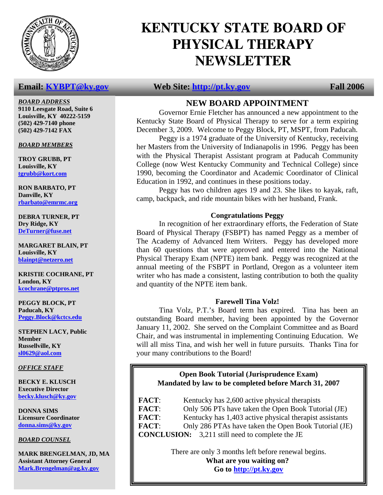

### *BOARD ADDRESS*

**9110 Leesgate Road, Suite 6 Louisville, KY 40222-5159 (502) 429-7140 phone (502) 429-7142 FAX** 

*BOARD MEMBERS*

**TROY GRUBB, PT Louisville, KY tgrubb@kort.com**

**RON BARBATO, PT Danville, KY rbarbato@emrmc.org**

**DEBRA TURNER, PT Dry Ridge, KY DeTurner@fuse.net**

**MARGARET BLAIN, PT Louisville, KY blainpt@netzero.net**

**KRISTIE COCHRANE, PT London, KY kcochrane@ptpros.net**

**PEGGY BLOCK, PT Paducah, KY Peggy.Block@kctcs.edu**

**STEPHEN LACY, Public Member Russellville, KY sl0629@aol.com**

*OFFICE STAFF*

**BECKY E. KLUSCH Executive Director becky.klusch@ky.gov**

**DONNA SIMS Licensure Coordinator donna.sims@ky.gov**

*BOARD COUNSEL*

**MARK BRENGELMAN, JD, MA Assistant Attorney General Mark.Brengelman@ag.ky.gov**

# **KENTUCKY STATE BOARD OF PHYSICAL THERAPY NEWSLETTER**

### **Email:** KYBPT@ky.gov Web Site: http://pt.ky.gov Fall 2006

## **NEW BOARD APPOINTMENT**

 Governor Ernie Fletcher has announced a new appointment to the Kentucky State Board of Physical Therapy to serve for a term expiring December 3, 2009. Welcome to Peggy Block, PT, MSPT, from Paducah.

 Peggy is a 1974 graduate of the University of Kentucky, receiving her Masters from the University of Indianapolis in 1996. Peggy has been with the Physical Therapist Assistant program at Paducah Community College (now West Kentucky Community and Technical College) since 1990, becoming the Coordinator and Academic Coordinator of Clinical Education in 1992, and continues in these positions today.

 Peggy has two children ages 19 and 23. She likes to kayak, raft, camp, backpack, and ride mountain bikes with her husband, Frank.

### **Congratulations Peggy**

 In recognition of her extraordinary efforts, the Federation of State Board of Physical Therapy (FSBPT) has named Peggy as a member of The Academy of Advanced Item Writers. Peggy has developed more than 60 questions that were approved and entered into the National Physical Therapy Exam (NPTE) item bank. Peggy was recognized at the annual meeting of the FSBPT in Portland, Oregon as a volunteer item writer who has made a consistent, lasting contribution to both the quality and quantity of the NPTE item bank.

### **Farewell Tina Volz!**

Tina Volz, P.T.'s Board term has expired. Tina has been an outstanding Board member, having been appointed by the Governor January 11, 2002. She served on the Complaint Committee and as Board Chair, and was instrumental in implementing Continuing Education. We will all miss Tina, and wish her well in future pursuits. Thanks Tina for your many contributions to the Board!

### **Open Book Tutorial (Jurisprudence Exam) Mandated by law to be completed before March 31, 2007**

**FACT:** Kentucky has 2,600 active physical therapists **FACT**: Only 506 PTs have taken the Open Book Tutorial (JE) **FACT:** Kentucky has 1,403 active physical therapist assistants **FACT**: Only 286 PTAs have taken the Open Book Tutorial (JE) **CONCLUSION:** 3,211 still need to complete the JE

> There are only 3 months left before renewal begins.  **What are you waiting on? Go to http://pt.ky.gov**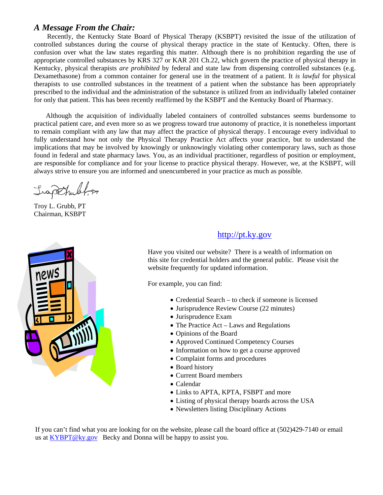### *A Message From the Chair:*

 Recently, the Kentucky State Board of Physical Therapy (KSBPT) revisited the issue of the utilization of controlled substances during the course of physical therapy practice in the state of Kentucky. Often, there is confusion over what the law states regarding this matter. Although there is no prohibition regarding the use of appropriate controlled substances by KRS 327 or KAR 201 Ch.22, which govern the practice of physical therapy in Kentucky, physical therapists *are prohibited* by federal and state law from dispensing controlled substances (e.g. Dexamethasone) from a common container for general use in the treatment of a patient. It *is lawful* for physical therapists to use controlled substances in the treatment of a patient when the substance has been appropriately prescribed to the individual and the administration of the substance is utilized from an individually labeled container for only that patient. This has been recently reaffirmed by the KSBPT and the Kentucky Board of Pharmacy.

 Although the acquisition of individually labeled containers of controlled substances seems burdensome to practical patient care, and even more so as we progress toward true autonomy of practice, it is nonetheless important to remain compliant with any law that may affect the practice of physical therapy. I encourage every individual to fully understand how not only the Physical Therapy Practice Act affects your practice, but to understand the implications that may be involved by knowingly or unknowingly violating other contemporary laws, such as those found in federal and state pharmacy laws. You, as an individual practitioner, regardless of position or employment, are responsible for compliance and for your license to practice physical therapy. However, we, at the KSBPT, will always strive to ensure you are informed and unencumbered in your practice as much as possible.

Irapthult, P

Troy L. Grubb, PT Chairman, KSBPT



### http://pt.ky.gov

Have you visited our website? There is a wealth of information on this site for credential holders and the general public. Please visit the website frequently for updated information.

For example, you can find:

- Credential Search to check if someone is licensed
- Jurisprudence Review Course (22 minutes)
- Jurisprudence Exam
- The Practice Act Laws and Regulations
- Opinions of the Board
- Approved Continued Competency Courses
- Information on how to get a course approved
- Complaint forms and procedures
- Board history
- Current Board members
- Calendar
- Links to APTA, KPTA, FSBPT and more
- Listing of physical therapy boards across the USA
- Newsletters listing Disciplinary Actions

If you can't find what you are looking for on the website, please call the board office at (502)429-7140 or email us at KYBPT@ky.gov Becky and Donna will be happy to assist you.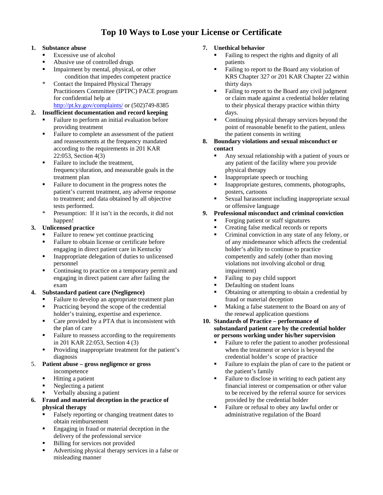# **Top 10 Ways to Lose your License or Certificate**

#### **1. Substance abuse**

- Excessive use of alcohol
- Abusive use of controlled drugs
- Impairment by mental, physical, or other condition that impedes competent practice
- \* Contact the Impaired Physical Therapy Practitioners Committee (IPTPC) PACE program for confidential help at http://pt.ky.gov/complaints/ or (502)749-8385

### **2. Insufficient documentation and record keeping**

- Failure to perform an initial evaluation before providing treatment
- Failure to complete an assessment of the patient and reassessments at the frequency mandated according to the requirements in 201 KAR 22:053, Section 4(3)
- Failure to include the treatment. frequency/duration, and measurable goals in the treatment plan
- Failure to document in the progress notes the patient's current treatment, any adverse response to treatment; and data obtained by all objective tests performed.
- \* Presumption: If it isn't in the records, it did not happen!

#### **3. Unlicensed practice**

- Failure to renew yet continue practicing
- Failure to obtain license or certificate before engaging in direct patient care in Kentucky
- Inappropriate delegation of duties to unlicensed personnel
- Continuing to practice on a temporary permit and engaging in direct patient care after failing the exam

#### **4. Substandard patient care (Negligence)**

- Failure to develop an appropriate treatment plan
- Practicing beyond the scope of the credential holder's training, expertise and experience.
- Care provided by a PTA that is inconsistent with the plan of care
- Failure to reassess according to the requirements in 201 KAR 22:053, Section 4 (3)
- **Providing inappropriate treatment for the patient's** diagnosis

#### 5. **Patient abuse – gross negligence or gross**  incompetence

- **Hitting a patient**
- Neglecting a patient
- Verbally abusing a patient

#### **6. Fraud and material deception in the practice of physical therapy**

- Falsely reporting or changing treatment dates to obtain reimbursement
- Engaging in fraud or material deception in the delivery of the professional service
- **Billing for services not provided**
- Advertising physical therapy services in a false or misleading manner

#### **7. Unethical behavior**

- Failing to respect the rights and dignity of all patients
- Failing to report to the Board any violation of KRS Chapter 327 or 201 KAR Chapter 22 within thirty days
- Failing to report to the Board any civil judgment or claim made against a credential holder relating to their physical therapy practice within thirty days.
- Continuing physical therapy services beyond the point of reasonable benefit to the patient, unless the patient consents in writing

#### **8. Boundary violations and sexual misconduct or contact**

- Any sexual relationship with a patient of yours or any patient of the facility where you provide physical therapy
- Inappropriate speech or touching
- Inappropriate gestures, comments, photographs, posters, cartoons
- Sexual harassment including inappropriate sexual or offensive language

#### **9. Professional misconduct and criminal conviction**

- Forging patient or staff signatures
- Creating false medical records or reports
- Criminal conviction in any state of any felony, or of any misdemeanor which affects the credential holder's ability to continue to practice competently and safely (other than moving violations not involving alcohol or drug impairment)
- Failing to pay child support
- Defaulting on student loans
- Obtaining or attempting to obtain a credential by fraud or material deception
- Making a false statement to the Board on any of the renewal application questions

#### **10. Standards of Practice – performance of substandard patient care by the credential holder or persons working under his/her supervision**

- Failure to refer the patient to another professional when the treatment or service is beyond the credential holder's scope of practice
- Failure to explain the plan of care to the patient or the patient's family
- Failure to disclose in writing to each patient any financial interest or compensation or other value to be received by the referral source for services provided by the credential holder
- Failure or refusal to obey any lawful order or administrative regulation of the Board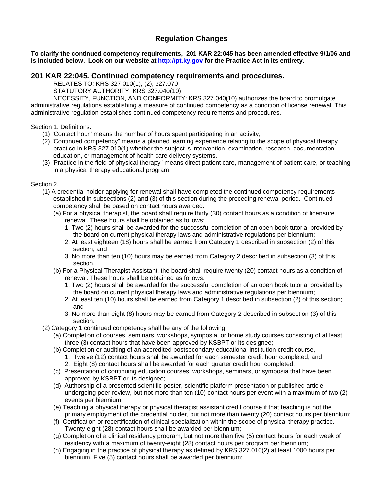### **Regulation Changes**

**To clarify the continued competency requirements, 201 KAR 22:045 has been amended effective 9/1/06 and is included below. Look on our website at http://pt.ky.gov for the Practice Act in its entirety.** 

#### **201 KAR 22:045. Continued competency requirements and procedures.**

RELATES TO: KRS 327.010(1), (2), 327.070

STATUTORY AUTHORITY: KRS 327.040(10)

 NECESSITY, FUNCTION, AND CONFORMITY: KRS 327.040(10) authorizes the board to promulgate administrative regulations establishing a measure of continued competency as a condition of license renewal. This administrative regulation establishes continued competency requirements and procedures.

#### Section 1. Definitions.

- (1) "Contact hour" means the number of hours spent participating in an activity;
- (2) "Continued competency" means a planned learning experience relating to the scope of physical therapy practice in KRS 327.010(1) whether the subject is intervention, examination, research, documentation, education, or management of health care delivery systems.
- (3) "Practice in the field of physical therapy" means direct patient care, management of patient care, or teaching in a physical therapy educational program.

#### Section 2.

- (1) A credential holder applying for renewal shall have completed the continued competency requirements established in subsections (2) and (3) of this section during the preceding renewal period. Continued competency shall be based on contact hours awarded.
	- (a) For a physical therapist, the board shall require thirty (30) contact hours as a condition of licensure renewal. These hours shall be obtained as follows:
		- 1. Two (2) hours shall be awarded for the successful completion of an open book tutorial provided by the board on current physical therapy laws and administrative regulations per biennium;
		- 2. At least eighteen (18) hours shall be earned from Category 1 described in subsection (2) of this section; and
		- 3. No more than ten (10) hours may be earned from Category 2 described in subsection (3) of this section.
	- (b) For a Physical Therapist Assistant, the board shall require twenty (20) contact hours as a condition of renewal. These hours shall be obtained as follows:
		- 1. Two (2) hours shall be awarded for the successful completion of an open book tutorial provided by the board on current physical therapy laws and administrative regulations per biennium;
		- 2. At least ten (10) hours shall be earned from Category 1 described in subsection (2) of this section; and
		- 3. No more than eight (8) hours may be earned from Category 2 described in subsection (3) of this section.
- (2) Category 1 continued competency shall be any of the following:
	- (a) Completion of courses, seminars, workshops, symposia, or home study courses consisting of at least three (3) contact hours that have been approved by KSBPT or its designee;
	- (b) Completion or auditing of an accredited postsecondary educational institution credit course,
		- 1. Twelve (12) contact hours shall be awarded for each semester credit hour completed; and
		- 2. Eight (8) contact hours shall be awarded for each quarter credit hour completed;
	- (c) Presentation of continuing education courses, workshops, seminars, or symposia that have been approved by KSBPT or its designee;
	- (d) Authorship of a presented scientific poster, scientific platform presentation or published article undergoing peer review, but not more than ten (10) contact hours per event with a maximum of two (2) events per biennium;
	- (e) Teaching a physical therapy or physical therapist assistant credit course if that teaching is not the primary employment of the credential holder, but not more than twenty (20) contact hours per biennium;
	- (f) Certification or recertification of clinical specialization within the scope of physical therapy practice. Twenty-eight (28) contact hours shall be awarded per biennium;
	- (g) Completion of a clinical residency program, but not more than five (5) contact hours for each week of residency with a maximum of twenty-eight (28) contact hours per program per biennium;
	- (h) Engaging in the practice of physical therapy as defined by KRS 327.010(2) at least 1000 hours per biennium. Five (5) contact hours shall be awarded per biennium;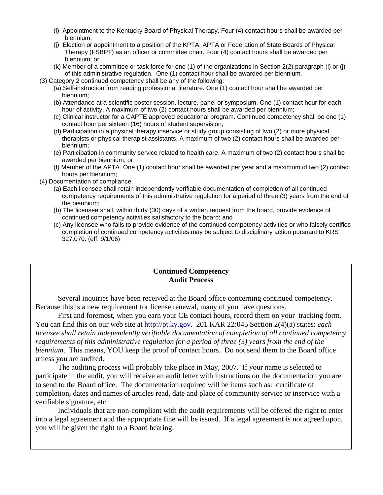- (i) Appointment to the Kentucky Board of Physical Therapy. Four (4) contact hours shall be awarded per biennium;
- (j) Election or appointment to a position of the KPTA, APTA or Federation of State Boards of Physical Therapy (FSBPT) as an officer or committee chair. Four (4) contact hours shall be awarded per biennium; or
- (k) Member of a committee or task force for one (1) of the organizations in Section 2(2) paragraph (i) or (j) of this administrative regulation. One (1) contact hour shall be awarded per biennium.
- (3) Category 2 continued competency shall be any of the following:
	- (a) Self-instruction from reading professional literature. One (1) contact hour shall be awarded per biennium;
	- (b) Attendance at a scientific poster session, lecture, panel or symposium. One (1) contact hour for each hour of activity. A maximum of two (2) contact hours shall be awarded per biennium;
	- (c) Clinical instructor for a CAPTE approved educational program. Continued competency shall be one (1) contact hour per sixteen (16) hours of student supervision;
	- (d) Participation in a physical therapy inservice or study group consisting of two (2) or more physical therapists or physical therapist assistants. A maximum of two (2) contact hours shall be awarded per biennium;
	- (e) Participation in community service related to health care. A maximum of two (2) contact hours shall be awarded per biennium; or
	- (f) Member of the APTA. One (1) contact hour shall be awarded per year and a maximum of two (2) contact hours per biennium;
- (4) Documentation of compliance.
	- (a) Each licensee shall retain independently verifiable documentation of completion of all continued competency requirements of this administrative regulation for a period of three (3) years from the end of the biennium;
	- (b) The licensee shall, within thirty (30) days of a written request from the board, provide evidence of continued competency activities satisfactory to the board; and
	- (c) Any licensee who fails to provide evidence of the continued competency activities or who falsely certifies completion of continued competency activities may be subject to disciplinary action pursuant to KRS 327.070. (eff. 9/1/06)

### **Continued Competency Audit Process**

Several inquiries have been received at the Board office concerning continued competency. Because this is a new requirement for license renewal, many of you have questions.

 First and foremost, when you earn your CE contact hours, record them on your tracking form. You can find this on our web site at http://pt.ky.gov. 201 KAR 22:045 Section 2(4)(a) states: *each licensee shall retain independently verifiable documentation of completion of all continued competency requirements of this administrative regulation for a period of three (3) years from the end of the biennium*. This means, YOU keep the proof of contact hours. Do not send them to the Board office unless you are audited.

 The auditing process will probably take place in May, 2007. If your name is selected to participate in the audit, you will receive an audit letter with instructions on the documentation you are to send to the Board office. The documentation required will be items such as: certificate of completion, dates and names of articles read, date and place of community service or inservice with a verifiable signature, etc.

 Individuals that are non-compliant with the audit requirements will be offered the right to enter into a legal agreement and the appropriate fine will be issued. If a legal agreement is not agreed upon, you will be given the right to a Board hearing.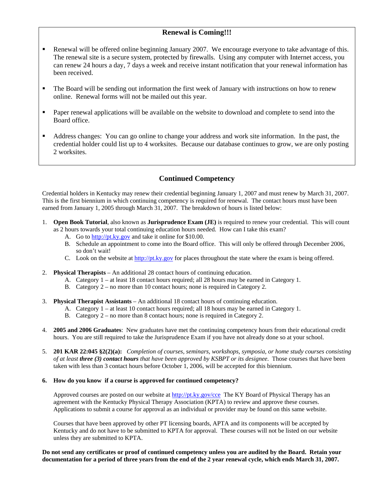### **Renewal is Coming!!!**

- Renewal will be offered online beginning January 2007. We encourage everyone to take advantage of this. The renewal site is a secure system, protected by firewalls. Using any computer with Internet access, you can renew 24 hours a day, 7 days a week and receive instant notification that your renewal information has been received.
- The Board will be sending out information the first week of January with instructions on how to renew online. Renewal forms will not be mailed out this year.
- **Paper renewal applications will be available on the website to download and complete to send into the** Board office.
- Address changes: You can go online to change your address and work site information. In the past, the credential holder could list up to 4 worksites. Because our database continues to grow, we are only posting 2 worksites.

### **Continued Competency**

Credential holders in Kentucky may renew their credential beginning January 1, 2007 and must renew by March 31, 2007. This is the first biennium in which continuing competency is required for renewal. The contact hours must have been earned from January 1, 2005 through March 31, 2007. The breakdown of hours is listed below:

- 1. **Open Book Tutorial**, also known as **Jurisprudence Exam (JE)** is required to renew your credential. This will count as 2 hours towards your total continuing education hours needed. How can I take this exam?
	- A. Go to http://pt.ky.gov and take it online for \$10.00.
	- B. Schedule an appointment to come into the Board office. This will only be offered through December 2006, so don't wait!
	- C. Look on the website at  $\frac{http://pt.ky.gov}$  for places throughout the state where the exam is being offered.
- 2. **Physical Therapists** An additional 28 contact hours of continuing education.
	- A. Category 1 at least 18 contact hours required; all 28 hours may be earned in Category 1.
	- B. Category 2 no more than 10 contact hours; none is required in Category 2.
- 3. **Physical Therapist Assistants** An additional 18 contact hours of continuing education.
	- A. Category 1 at least 10 contact hours required; all 18 hours may be earned in Category 1.
	- B. Category 2 no more than 8 contact hours; none is required in Category 2.
- 4. **2005 and 2006 Graduates**: New graduates have met the continuing competency hours from their educational credit hours. You are still required to take the Jurisprudence Exam if you have not already done so at your school.
- 5. **201 KAR 22:045 §2(2)(a):** *Completion of courses, seminars, workshops, symposia, or home study courses consisting of at least three (3) contact hours that have been approved by KSBPT or its designee*. Those courses that have been taken with less than 3 contact hours before October 1, 2006, will be accepted for this biennium.

#### **6. How do you know if a course is approved for continued competency?**

Approved courses are posted on our website at http://pt.ky.gov/cce The KY Board of Physical Therapy has an agreement with the Kentucky Physical Therapy Association (KPTA) to review and approve these courses. Applications to submit a course for approval as an individual or provider may be found on this same website.

Courses that have been approved by other PT licensing boards, APTA and its components will be accepted by Kentucky and do not have to be submitted to KPTA for approval. These courses will not be listed on our website unless they are submitted to KPTA.

**Do not send any certificates or proof of continued competency unless you are audited by the Board. Retain your documentation for a period of three years from the end of the 2 year renewal cycle, which ends March 31, 2007.**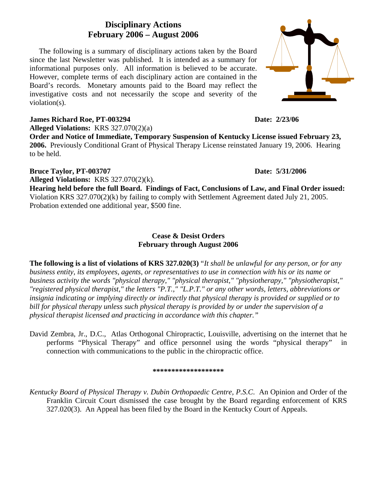### **Disciplinary Actions February 2006 – August 2006**

 The following is a summary of disciplinary actions taken by the Board since the last Newsletter was published. It is intended as a summary for informational purposes only. All information is believed to be accurate. However, complete terms of each disciplinary action are contained in the Board's records. Monetary amounts paid to the Board may reflect the investigative costs and not necessarily the scope and severity of the violation(s).

### **James Richard Roe, PT-003294 Date: 2/23/06**

**Alleged Violations:** KRS 327.070(2)(a)

**Order and Notice of Immediate, Temporary Suspension of Kentucky License issued February 23, 2006.** Previously Conditional Grant of Physical Therapy License reinstated January 19, 2006. Hearing to be held.

### **Bruce Taylor, PT-003707** Date: 5/31/2006

**Alleged Violations:** KRS 327.070(2)(k).

**Hearing held before the full Board. Findings of Fact, Conclusions of Law, and Final Order issued:** Violation KRS 327.070(2)(k) by failing to comply with Settlement Agreement dated July 21, 2005. Probation extended one additional year, \$500 fine.

### **Cease & Desist Orders February through August 2006**

**The following is a list of violations of KRS 327.020(3)** "*It shall be unlawful for any person, or for any business entity, its employees, agents, or representatives to use in connection with his or its name or business activity the words "physical therapy," "physical therapist," "physiotherapy," "physiotherapist," "registered physical therapist," the letters "P.T.," "L.P.T." or any other words, letters, abbreviations or insignia indicating or implying directly or indirectly that physical therapy is provided or supplied or to bill for physical therapy unless such physical therapy is provided by or under the supervision of a physical therapist licensed and practicing in accordance with this chapter."* 

David Zembra, Jr., D.C., Atlas Orthogonal Chiropractic, Louisville, advertising on the internet that he performs "Physical Therapy" and office personnel using the words "physical therapy" in connection with communications to the public in the chiropractic office.

#### **\*\*\*\*\*\*\*\*\*\*\*\*\*\*\*\*\*\*\***

*Kentucky Board of Physical Therapy v. Dubin Orthopaedic Centre, P.S.C*. An Opinion and Order of the Franklin Circuit Court dismissed the case brought by the Board regarding enforcement of KRS 327.020(3). An Appeal has been filed by the Board in the Kentucky Court of Appeals.